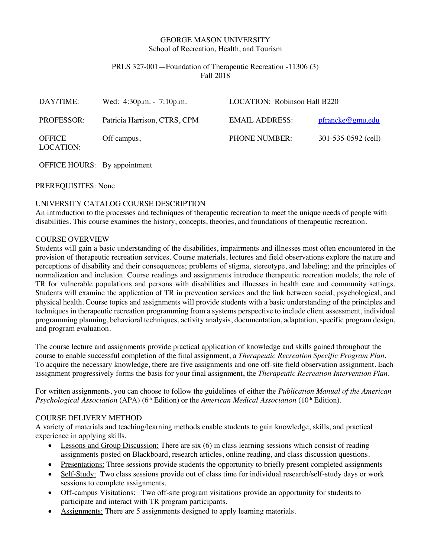### GEORGE MASON UNIVERSITY School of Recreation, Health, and Tourism

### PRLS 327-001—Foundation of Therapeutic Recreation -11306 (3) Fall 2018

| DAY/TIME:                  | Wed: 4:30p.m. - 7:10p.m.     | LOCATION: Robinson Hall B220 |                         |  |
|----------------------------|------------------------------|------------------------------|-------------------------|--|
| <b>PROFESSOR:</b>          | Patricia Harrison, CTRS, CPM | <b>EMAIL ADDRESS:</b>        | <u>pfrancke@gmu.edu</u> |  |
| <b>OFFICE</b><br>LOCATION: | Off campus,                  | <b>PHONE NUMBER:</b>         | 301-535-0592 (cell)     |  |

OFFICE HOURS: By appointment

PREREQUISITES: None

### UNIVERSITY CATALOG COURSE DESCRIPTION

An introduction to the processes and techniques of therapeutic recreation to meet the unique needs of people with disabilities. This course examines the history, concepts, theories, and foundations of therapeutic recreation.

### COURSE OVERVIEW

Students will gain a basic understanding of the disabilities, impairments and illnesses most often encountered in the provision of therapeutic recreation services. Course materials, lectures and field observations explore the nature and perceptions of disability and their consequences; problems of stigma, stereotype, and labeling; and the principles of normalization and inclusion. Course readings and assignments introduce therapeutic recreation models; the role of TR for vulnerable populations and persons with disabilities and illnesses in health care and community settings. Students will examine the application of TR in prevention services and the link between social, psychological, and physical health. Course topics and assignments will provide students with a basic understanding of the principles and techniques in therapeutic recreation programming from a systems perspective to include client assessment, individual programming planning, behavioral techniques, activity analysis, documentation, adaptation, specific program design, and program evaluation.

The course lecture and assignments provide practical application of knowledge and skills gained throughout the course to enable successful completion of the final assignment, a *Therapeutic Recreation Specific Program Plan*. To acquire the necessary knowledge, there are five assignments and one off-site field observation assignment. Each assignment progressively forms the basis for your final assignment, the *Therapeutic Recreation Intervention Plan*.

For written assignments, you can choose to follow the guidelines of either the *Publication Manual of the American Psychological Association* (APA) (6<sup>th</sup> Edition) or the *American Medical Association* (10<sup>th</sup> Edition).

### COURSE DELIVERY METHOD

A variety of materials and teaching/learning methods enable students to gain knowledge, skills, and practical experience in applying skills.

- Lessons and Group Discussion: There are six (6) in class learning sessions which consist of reading assignments posted on Blackboard, research articles, online reading, and class discussion questions.
- Presentations: Three sessions provide students the opportunity to briefly present completed assignments
- Self-Study: Two class sessions provide out of class time for individual research/self-study days or work sessions to complete assignments.
- Off-campus Visitations: Two off-site program visitations provide an opportunity for students to participate and interact with TR program participants.
- Assignments: There are 5 assignments designed to apply learning materials.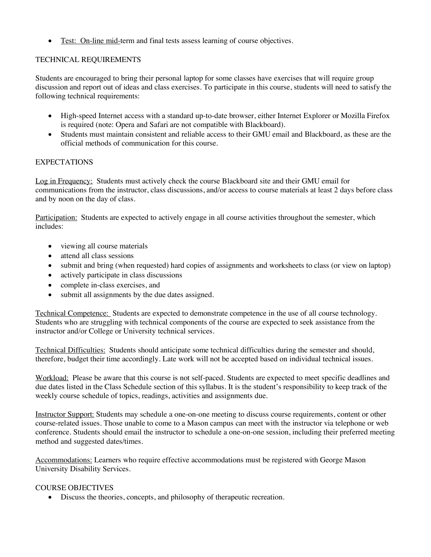• Test: On-line mid-term and final tests assess learning of course objectives.

# TECHNICAL REQUIREMENTS

Students are encouraged to bring their personal laptop for some classes have exercises that will require group discussion and report out of ideas and class exercises. To participate in this course, students will need to satisfy the following technical requirements:

- High-speed Internet access with a standard up-to-date browser, either Internet Explorer or Mozilla Firefox is required (note: Opera and Safari are not compatible with Blackboard).
- Students must maintain consistent and reliable access to their GMU email and Blackboard, as these are the official methods of communication for this course.

# **EXPECTATIONS**

Log in Frequency: Students must actively check the course Blackboard site and their GMU email for communications from the instructor, class discussions, and/or access to course materials at least 2 days before class and by noon on the day of class.

Participation: Students are expected to actively engage in all course activities throughout the semester, which includes:

- viewing all course materials
- attend all class sessions
- submit and bring (when requested) hard copies of assignments and worksheets to class (or view on laptop)
- actively participate in class discussions
- complete in-class exercises, and
- submit all assignments by the due dates assigned.

Technical Competence: Students are expected to demonstrate competence in the use of all course technology. Students who are struggling with technical components of the course are expected to seek assistance from the instructor and/or College or University technical services.

Technical Difficulties: Students should anticipate some technical difficulties during the semester and should, therefore, budget their time accordingly. Late work will not be accepted based on individual technical issues.

Workload: Please be aware that this course is not self-paced. Students are expected to meet specific deadlines and due dates listed in the Class Schedule section of this syllabus. It is the student's responsibility to keep track of the weekly course schedule of topics, readings, activities and assignments due.

Instructor Support: Students may schedule a one-on-one meeting to discuss course requirements, content or other course-related issues. Those unable to come to a Mason campus can meet with the instructor via telephone or web conference. Students should email the instructor to schedule a one-on-one session, including their preferred meeting method and suggested dates/times.

Accommodations: Learners who require effective accommodations must be registered with George Mason University Disability Services.

# COURSE OBJECTIVES

• Discuss the theories, concepts, and philosophy of therapeutic recreation.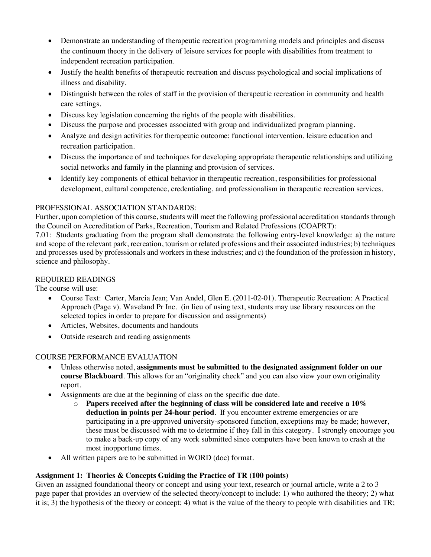- Demonstrate an understanding of therapeutic recreation programming models and principles and discuss the continuum theory in the delivery of leisure services for people with disabilities from treatment to independent recreation participation.
- Justify the health benefits of therapeutic recreation and discuss psychological and social implications of illness and disability.
- Distinguish between the roles of staff in the provision of therapeutic recreation in community and health care settings.
- Discuss key legislation concerning the rights of the people with disabilities.
- Discuss the purpose and processes associated with group and individualized program planning.
- Analyze and design activities for therapeutic outcome: functional intervention, leisure education and recreation participation.
- Discuss the importance of and techniques for developing appropriate therapeutic relationships and utilizing social networks and family in the planning and provision of services.
- Identify key components of ethical behavior in therapeutic recreation, responsibilities for professional development, cultural competence, credentialing, and professionalism in therapeutic recreation services.

# PROFESSIONAL ASSOCIATION STANDARDS:

Further, upon completion of this course, students will meet the following professional accreditation standards through the Council on Accreditation of Parks, Recreation, Tourism and Related Professions (COAPRT):

7.01: Students graduating from the program shall demonstrate the following entry-level knowledge: a) the nature and scope of the relevant park, recreation, tourism or related professions and their associated industries; b) techniques and processes used by professionals and workers in these industries; and c) the foundation of the profession in history, science and philosophy.

### REQUIRED READINGS

The course will use:

- Course Text: Carter, Marcia Jean; Van Andel, Glen E. (2011-02-01). Therapeutic Recreation: A Practical Approach (Page v). Waveland Pr Inc. (in lieu of using text, students may use library resources on the selected topics in order to prepare for discussion and assignments)
- Articles, Websites, documents and handouts
- Outside research and reading assignments

### COURSE PERFORMANCE EVALUATION

- Unless otherwise noted, **assignments must be submitted to the designated assignment folder on our course Blackboard**. This allows for an "originality check" and you can also view your own originality report.
- Assignments are due at the beginning of class on the specific due date.
	- o **Papers received after the beginning of class will be considered late and receive a 10% deduction in points per 24-hour period**. If you encounter extreme emergencies or are participating in a pre-approved university-sponsored function, exceptions may be made; however, these must be discussed with me to determine if they fall in this category. I strongly encourage you to make a back-up copy of any work submitted since computers have been known to crash at the most inopportune times.
- All written papers are to be submitted in WORD (doc) format.

# **Assignment 1: Theories & Concepts Guiding the Practice of TR (100 points)**

Given an assigned foundational theory or concept and using your text, research or journal article, write a 2 to 3 page paper that provides an overview of the selected theory/concept to include: 1) who authored the theory; 2) what it is; 3) the hypothesis of the theory or concept; 4) what is the value of the theory to people with disabilities and TR;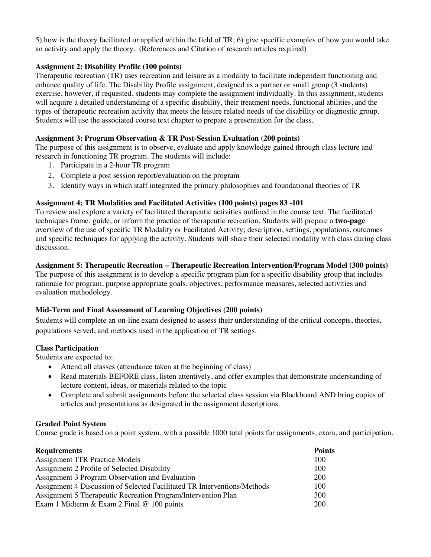5) how is the theory facilitated or applied within the field of TR; 6) give specific examples of how you would take an activity and apply the theory. (References and Citation of research articles required)

# **Assignment 2: Disability Profile (100 points)**

Therapeutic recreation (TR) uses recreation and leisure as a modality to facilitate independent functioning and enhance quality of life. The Disability Profile assignment, designed as a partner or small group (3 students) exercise, however, if requested, students may complete the assignment individually. In this assignment, students will acquire a detailed understanding of a specific disability, their treatment needs, functional abilities, and the types of therapeutic recreation activity that meets the leisure related needs of the disability or diagnostic group. Students will use the associated course text chapter to prepare a presentation for the class.

# **Assignment 3: Program Observation & TR Post-Session Evaluation (200 points)**

The purpose of this assignment is to observe, evaluate and apply knowledge gained through class lecture and research in functioning TR program. The students will include:

- 1. Participate in a 2-hour TR program
- 2. Complete a post session report/evaluation on the program
- 3. Identify ways in which staff integrated the primary philosophies and foundational theories of TR

# **Assignment 4: TR Modalities and Facilitated Activities (100 points) pages 83 -101**

To review and explore a variety of facilitated therapeutic activities outlined in the course text. The facilitated techniques frame, guide, or inform the practice of therapeutic recreation. Students will prepare a **two-page** overview of the use of specific TR Modality or Facilitated Activity; description, settings, populations, outcomes and specific techniques for applying the activity. Students will share their selected modality with class during class discussion.

# **Assignment 5: Therapeutic Recreation – Therapeutic Recreation Intervention/Program Model (300 points)**

The purpose of this assignment is to develop a specific program plan for a specific disability group that includes rationale for program, purpose appropriate goals, objectives, performance measures, selected activities and evaluation methodology.

# **Mid-Term and Final Assessment of Learning Objectives (200 points)**

Students will complete an on-line exam designed to assess their understanding of the critical concepts, theories, populations served, and methods used in the application of TR settings.

# **Class Participation**

Students are expected to:

- Attend all classes (attendance taken at the beginning of class)
- Read materials BEFORE class, listen attentively, and offer examples that demonstrate understanding of lecture content, ideas, or materials related to the topic
- Complete and submit assignments before the selected class session via Blackboard AND bring copies of articles and presentations as designated in the assignment descriptions.

# **Graded Point System**

Course grade is based on a point system, with a possible 1000 total points for assignments, exam, and participation.

| <b>Requirements</b>                                                      | <b>Points</b> |
|--------------------------------------------------------------------------|---------------|
| <b>Assignment 1TR Practice Models</b>                                    | 100           |
| Assignment 2 Profile of Selected Disability                              | 100           |
| Assignment 3 Program Observation and Evaluation                          | <b>200</b>    |
| Assignment 4 Discussion of Selected Facilitated TR Interventions/Methods | 100           |
| Assignment 5 Therapeutic Recreation Program/Intervention Plan            | 300           |
| Exam 1 Midterm & Exam 2 Final @ 100 points                               | 200           |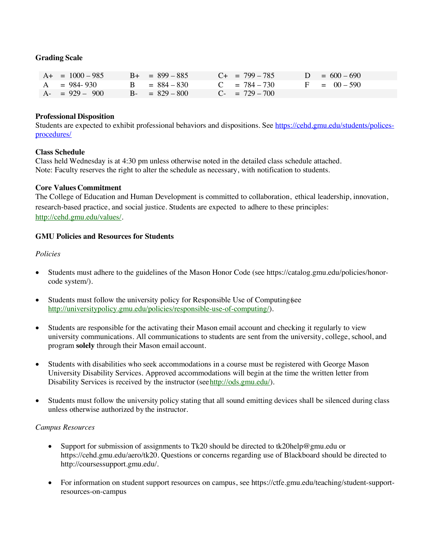### **Grading Scale**

| $A_{+} = 1000 - 985$ | $B_{+} = 899 - 885$             | $C_{+}$ = 799 – 785<br>$D = 600 - 690$ |
|----------------------|---------------------------------|----------------------------------------|
| $A = 984 - 930$      | $B = 884 - 830$                 | $C = 784 - 730$<br>$F = 00 - 590$      |
| $A = 929 - 900$      | $B = 829 - 800$ $C = 729 - 700$ |                                        |

### **Professional Disposition**

Students are expected to exhibit professional behaviors and dispositions. See https://cehd.gmu.edu/students/policesprocedures/

#### **Class Schedule**

Class held Wednesday is at 4:30 pm unless otherwise noted in the detailed class schedule attached. Note: Faculty reserves the right to alter the schedule as necessary, with notification to students.

#### **Core Values Commitment**

The College of Education and Human Development is committed to collaboration, ethical leadership, innovation, research-based practice, and social justice. Students are expected to adhere to these principles: http://cehd.gmu.edu/values/.

#### **GMU Policies and Resources for Students**

#### *Policies*

- Students must adhere to the guidelines of the Mason Honor Code (see https://catalog.gmu.edu/policies/honorcode system/).
- Students must follow the university policy for Responsible Use of Computing (see http://universitypolicy.gmu.edu/policies/responsible-use-of-computing/).
- Students are responsible for the activating their Mason email account and checking it regularly to view university communications. All communications to students are sent from the university, college, school, and program **solely** through their Mason email account.
- Students with disabilities who seek accommodations in a course must be registered with George Mason University Disability Services. Approved accommodations will begin at the time the written letter from Disability Services is received by the instructor (see http://ods.gmu.edu/).
- Students must follow the university policy stating that all sound emitting devices shall be silenced during class unless otherwise authorized by the instructor.

### *Campus Resources*

- Support for submission of assignments to Tk20 should be directed to tk20help@gmu.edu or https://cehd.gmu.edu/aero/tk20. Questions or concerns regarding use of Blackboard should be directed to http://coursessupport.gmu.edu/.
- For information on student support resources on campus, see https://ctfe.gmu.edu/teaching/student-supportresources-on-campus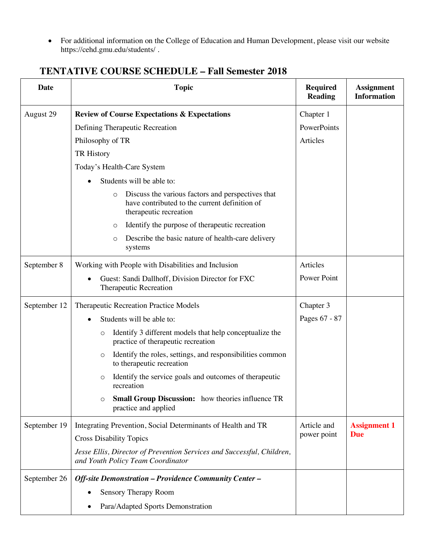• For additional information on the College of Education and Human Development, please visit our website https://cehd.gmu.edu/students/ .

| Date         | <b>Topic</b>                                                                                                                            | <b>Required</b><br><b>Reading</b> | <b>Assignment</b><br><b>Information</b> |
|--------------|-----------------------------------------------------------------------------------------------------------------------------------------|-----------------------------------|-----------------------------------------|
| August 29    | <b>Review of Course Expectations &amp; Expectations</b>                                                                                 | Chapter 1                         |                                         |
|              | Defining Therapeutic Recreation                                                                                                         | PowerPoints                       |                                         |
|              | Philosophy of TR                                                                                                                        | Articles                          |                                         |
|              | TR History                                                                                                                              |                                   |                                         |
|              | Today's Health-Care System                                                                                                              |                                   |                                         |
|              | Students will be able to:<br>$\bullet$                                                                                                  |                                   |                                         |
|              | Discuss the various factors and perspectives that<br>$\circ$<br>have contributed to the current definition of<br>therapeutic recreation |                                   |                                         |
|              | Identify the purpose of therapeutic recreation<br>O                                                                                     |                                   |                                         |
|              | Describe the basic nature of health-care delivery<br>$\circ$<br>systems                                                                 |                                   |                                         |
| September 8  | Working with People with Disabilities and Inclusion                                                                                     | Articles                          |                                         |
|              | Guest: Sandi Dallhoff, Division Director for FXC<br>Therapeutic Recreation                                                              | Power Point                       |                                         |
| September 12 | Therapeutic Recreation Practice Models                                                                                                  | Chapter 3                         |                                         |
|              | Students will be able to:                                                                                                               | Pages 67 - 87                     |                                         |
|              | Identify 3 different models that help conceptualize the<br>$\circ$<br>practice of therapeutic recreation                                |                                   |                                         |
|              | Identify the roles, settings, and responsibilities common<br>$\circ$<br>to therapeutic recreation                                       |                                   |                                         |
|              | Identify the service goals and outcomes of therapeutic<br>$\circ$<br>recreation                                                         |                                   |                                         |
|              | Small Group Discussion: how theories influence TR<br>$\circ$<br>practice and applied                                                    |                                   |                                         |
| September 19 | Integrating Prevention, Social Determinants of Health and TR                                                                            | Article and<br>power point        | <b>Assignment 1</b><br><b>Due</b>       |
|              | <b>Cross Disability Topics</b>                                                                                                          |                                   |                                         |
|              | Jesse Ellis, Director of Prevention Services and Successful, Children,<br>and Youth Policy Team Coordinator                             |                                   |                                         |
| September 26 | <b>Off-site Demonstration - Providence Community Center -</b>                                                                           |                                   |                                         |
|              | Sensory Therapy Room                                                                                                                    |                                   |                                         |
|              | Para/Adapted Sports Demonstration                                                                                                       |                                   |                                         |

# **TENTATIVE COURSE SCHEDULE – Fall Semester 2018**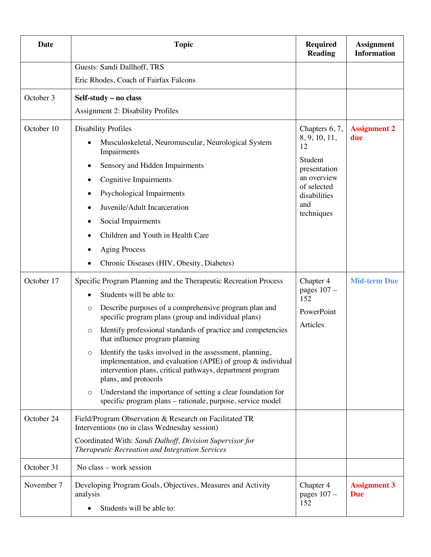| Date       | <b>Topic</b>                                                                                                                                                                                                            | <b>Required</b><br><b>Reading</b>       | <b>Assignment</b><br><b>Information</b> |
|------------|-------------------------------------------------------------------------------------------------------------------------------------------------------------------------------------------------------------------------|-----------------------------------------|-----------------------------------------|
|            | Guests: Sandi Dallhoff, TRS                                                                                                                                                                                             |                                         |                                         |
|            | Eric Rhodes, Coach of Fairfax Falcons                                                                                                                                                                                   |                                         |                                         |
| October 3  | Self-study - no class                                                                                                                                                                                                   |                                         |                                         |
|            | <b>Assignment 2: Disability Profiles</b>                                                                                                                                                                                |                                         |                                         |
| October 10 | <b>Disability Profiles</b>                                                                                                                                                                                              | Chapters $6, 7,$<br>8, 9, 10, 11,<br>12 | <b>Assignment 2</b><br>due              |
|            | Musculoskeletal, Neuromuscular, Neurological System<br>Impairments                                                                                                                                                      |                                         |                                         |
|            | Sensory and Hidden Impairments                                                                                                                                                                                          | Student<br>presentation                 |                                         |
|            | <b>Cognitive Impairments</b>                                                                                                                                                                                            | an overview<br>of selected              |                                         |
|            | Psychological Impairments                                                                                                                                                                                               | disabilities                            |                                         |
|            | Juvenile/Adult Incarceration<br>$\bullet$                                                                                                                                                                               | and<br>techniques                       |                                         |
|            | Social Impairments                                                                                                                                                                                                      |                                         |                                         |
|            | Children and Youth in Health Care                                                                                                                                                                                       |                                         |                                         |
|            | <b>Aging Process</b>                                                                                                                                                                                                    |                                         |                                         |
|            | Chronic Diseases (HIV, Obesity, Diabetes)                                                                                                                                                                               |                                         |                                         |
| October 17 | Specific Program Planning and the Therapeutic Recreation Process                                                                                                                                                        | Chapter 4                               | <b>Mid-term Due</b>                     |
|            | Students will be able to:                                                                                                                                                                                               | pages $107 -$<br>152<br>PowerPoint      |                                         |
|            | Describe purposes of a comprehensive program plan and<br>$\circ$<br>specific program plans (group and individual plans)                                                                                                 |                                         |                                         |
|            | Identify professional standards of practice and competencies<br>$\circ$<br>that influence program planning                                                                                                              | Articles                                |                                         |
|            | Identify the tasks involved in the assessment, planning,<br>$\circ$<br>implementation, and evaluation (APIE) of group & individual<br>intervention plans, critical pathways, department program<br>plans, and protocols |                                         |                                         |
|            | Understand the importance of setting a clear foundation for<br>$\circ$<br>specific program plans - rationale, purpose, service model                                                                                    |                                         |                                         |
| October 24 | Field/Program Observation & Research on Facilitated TR<br>Interventions (no in class Wednesday session)                                                                                                                 |                                         |                                         |
|            | Coordinated With: Sandi Dalhoff, Division Supervisor for<br>Therapeutic Recreation and Integration Services                                                                                                             |                                         |                                         |
| October 31 | No class – work session                                                                                                                                                                                                 |                                         |                                         |
| November 7 | Developing Program Goals, Objectives, Measures and Activity<br>analysis<br>Students will be able to:                                                                                                                    | Chapter 4<br>pages $107 -$<br>152       | <b>Assignment 3</b><br><b>Due</b>       |